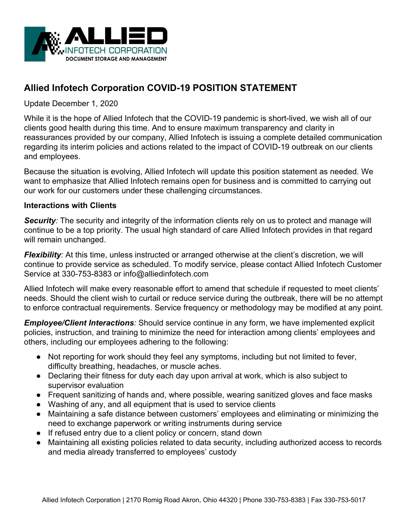

# **Allied Infotech Corporation COVID-19 POSITION STATEMENT**

Update December 1, 2020

While it is the hope of Allied Infotech that the COVID-19 pandemic is short-lived, we wish all of our clients good health during this time. And to ensure maximum transparency and clarity in reassurances provided by our company, Allied Infotech is issuing a complete detailed communication regarding its interim policies and actions related to the impact of COVID-19 outbreak on our clients and employees.

Because the situation is evolving, Allied Infotech will update this position statement as needed. We want to emphasize that Allied Infotech remains open for business and is committed to carrying out our work for our customers under these challenging circumstances.

### **Interactions with Clients**

**Security**: The security and integrity of the information clients rely on us to protect and manage will continue to be a top priority. The usual high standard of care Allied Infotech provides in that regard will remain unchanged.

*Flexibility:* At this time, unless instructed or arranged otherwise at the client's discretion, we will continue to provide service as scheduled. To modify service, please contact Allied Infotech Customer Service at 330-753-8383 or info@alliedinfotech.com

Allied Infotech will make every reasonable effort to amend that schedule if requested to meet clients' needs. Should the client wish to curtail or reduce service during the outbreak, there will be no attempt to enforce contractual requirements. Service frequency or methodology may be modified at any point.

*Employee/Client Interactions:* Should service continue in any form, we have implemented explicit policies, instruction, and training to minimize the need for interaction among clients' employees and others, including our employees adhering to the following:

- Not reporting for work should they feel any symptoms, including but not limited to fever, difficulty breathing, headaches, or muscle aches.
- Declaring their fitness for duty each day upon arrival at work, which is also subject to supervisor evaluation
- Frequent sanitizing of hands and, where possible, wearing sanitized gloves and face masks
- Washing of any, and all equipment that is used to service clients
- Maintaining a safe distance between customers' employees and eliminating or minimizing the need to exchange paperwork or writing instruments during service
- If refused entry due to a client policy or concern, stand down
- Maintaining all existing policies related to data security, including authorized access to records and media already transferred to employees' custody